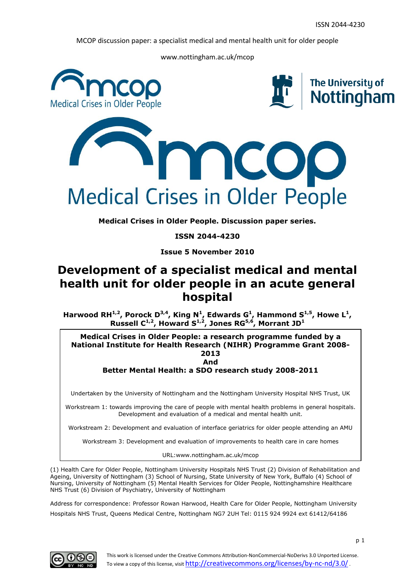www.nottingham.ac.uk/mcop



**Medical Crises in Older People. Discussion paper series.**

**ISSN 2044-4230**

**Issue 5 November 2010**

# **Development of a specialist medical and mental health unit for older people in an acute general hospital**

Harwood RH<sup>1,2</sup>, Porock D<sup>3,4</sup>, King N<sup>1</sup>, Edwards G<sup>1</sup>, Hammond S<sup>1,5</sup>, Howe L<sup>1</sup>, **Russell C 1,2, Howard S 1,2, Jones RG5,6, Morrant JD<sup>1</sup>**

**Medical Crises in Older People: a research programme funded by a National Institute for Health Research (NIHR) Programme Grant 2008- 2013 And**

**Better Mental Health: a SDO research study 2008-2011**

Undertaken by the University of Nottingham and the Nottingham University Hospital NHS Trust, UK

Workstream 1: towards improving the care of people with mental health problems in general hospitals. Development and evaluation of a medical and mental health unit.

Workstream 2: Development and evaluation of interface geriatrics for older people attending an AMU

Workstream 3: Development and evaluation of improvements to health care in care homes

URL:www.nottingham.ac.uk/mcop

(1) Health Care for Older People, Nottingham University Hospitals NHS Trust (2) Division of Rehabilitation and Ageing, University of Nottingham (3) School of Nursing, State University of New York, Buffalo (4) School of Nursing, University of Nottingham (5) Mental Health Services for Older People, Nottinghamshire Healthcare NHS Trust (6) Division of Psychiatry, University of Nottingham

Address for correspondence: Professor Rowan Harwood, Health Care for Older People, Nottingham University Hospitals NHS Trust, Queens Medical Centre, Nottingham NG7 2UH Tel: 0115 924 9924 ext 61412/64186

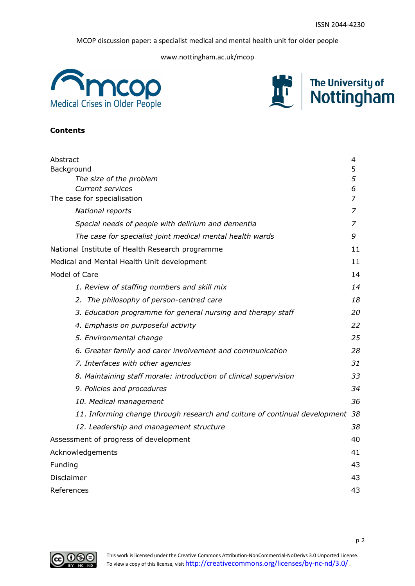www.nottingham.ac.uk/mcop





# **Contents**

| Abstract                                                                   | 4  |
|----------------------------------------------------------------------------|----|
| Background                                                                 | 5  |
| The size of the problem                                                    | 5  |
| <b>Current services</b>                                                    | 6  |
| The case for specialisation                                                | 7  |
| National reports                                                           | 7  |
| Special needs of people with delirium and dementia                         | 7  |
| The case for specialist joint medical mental health wards                  | 9  |
| National Institute of Health Research programme                            | 11 |
| Medical and Mental Health Unit development                                 | 11 |
| Model of Care                                                              | 14 |
| 1. Review of staffing numbers and skill mix                                | 14 |
| 2. The philosophy of person-centred care                                   | 18 |
| 3. Education programme for general nursing and therapy staff               | 20 |
| 4. Emphasis on purposeful activity                                         | 22 |
| 5. Environmental change                                                    | 25 |
| 6. Greater family and carer involvement and communication                  | 28 |
| 7. Interfaces with other agencies                                          | 31 |
| 8. Maintaining staff morale: introduction of clinical supervision          | 33 |
| 9. Policies and procedures                                                 | 34 |
| 10. Medical management                                                     | 36 |
| 11. Informing change through research and culture of continual development | 38 |
| 12. Leadership and management structure                                    | 38 |
| Assessment of progress of development                                      | 40 |
| Acknowledgements                                                           | 41 |
| Funding                                                                    | 43 |
| Disclaimer                                                                 | 43 |
| References                                                                 | 43 |

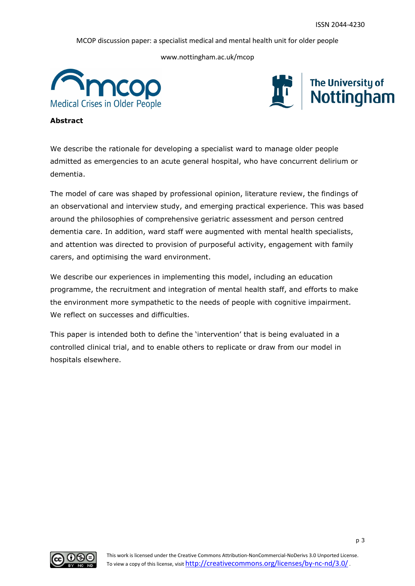www.nottingham.ac.uk/mcop





**Abstract**

We describe the rationale for developing a specialist ward to manage older people admitted as emergencies to an acute general hospital, who have concurrent delirium or dementia.

The model of care was shaped by professional opinion, literature review, the findings of an observational and interview study, and emerging practical experience. This was based around the philosophies of comprehensive geriatric assessment and person centred dementia care. In addition, ward staff were augmented with mental health specialists, and attention was directed to provision of purposeful activity, engagement with family carers, and optimising the ward environment.

We describe our experiences in implementing this model, including an education programme, the recruitment and integration of mental health staff, and efforts to make the environment more sympathetic to the needs of people with cognitive impairment. We reflect on successes and difficulties.

This paper is intended both to define the 'intervention' that is being evaluated in a controlled clinical trial, and to enable others to replicate or draw from our model in hospitals elsewhere.

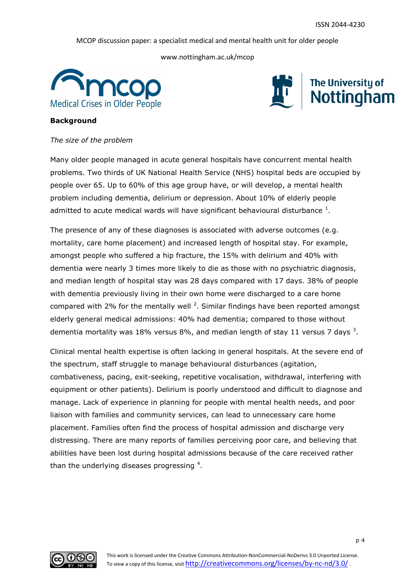www.nottingham.ac.uk/mcop





#### **Background**

#### *The size of the problem*

Many older people managed in acute general hospitals have concurrent mental health problems. Two thirds of UK National Health Service (NHS) hospital beds are occupied by people over 65. Up to 60% of this age group have, or will develop, a mental health problem including dementia, delirium or depression. About 10% of elderly people admitted to acute medical wards will have significant behavioural disturbance  $^1$ .

The presence of any of these diagnoses is associated with adverse outcomes (e.g. mortality, care home placement) and increased length of hospital stay. For example, amongst people who suffered a hip fracture, the 15% with delirium and 40% with dementia were nearly 3 times more likely to die as those with no psychiatric diagnosis, and median length of hospital stay was 28 days compared with 17 days. 38% of people with dementia previously living in their own home were discharged to a care home compared with 2% for the mentally well  $^2$ . Similar findings have been reported amongst elderly general medical admissions: 40% had dementia; compared to those without dementia mortality was 18% versus 8%, and median length of stay 11 versus 7 days  $^3$ .

Clinical mental health expertise is often lacking in general hospitals. At the severe end of the spectrum, staff struggle to manage behavioural disturbances (agitation, combativeness, pacing, exit-seeking, repetitive vocalisation, withdrawal, interfering with equipment or other patients). Delirium is poorly understood and difficult to diagnose and manage. Lack of experience in planning for people with mental health needs, and poor liaison with families and community services, can lead to unnecessary care home placement. Families often find the process of hospital admission and discharge very distressing. There are many reports of families perceiving poor care, and believing that abilities have been lost during hospital admissions because of the care received rather than the underlying diseases progressing  $4$ .

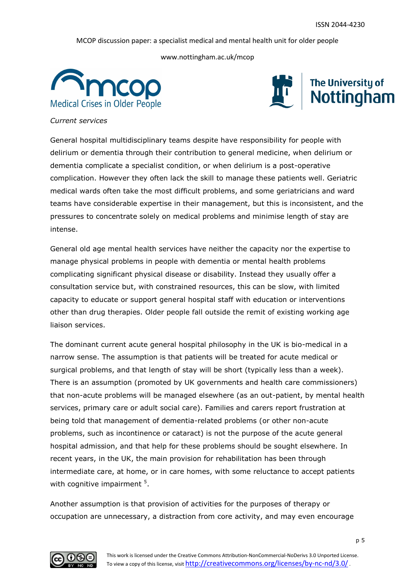www.nottingham.ac.uk/mcop





#### *Current services*

General hospital multidisciplinary teams despite have responsibility for people with delirium or dementia through their contribution to general medicine, when delirium or dementia complicate a specialist condition, or when delirium is a post-operative complication. However they often lack the skill to manage these patients well. Geriatric medical wards often take the most difficult problems, and some geriatricians and ward teams have considerable expertise in their management, but this is inconsistent, and the pressures to concentrate solely on medical problems and minimise length of stay are intense.

General old age mental health services have neither the capacity nor the expertise to manage physical problems in people with dementia or mental health problems complicating significant physical disease or disability. Instead they usually offer a consultation service but, with constrained resources, this can be slow, with limited capacity to educate or support general hospital staff with education or interventions other than drug therapies. Older people fall outside the remit of existing working age liaison services.

The dominant current acute general hospital philosophy in the UK is bio-medical in a narrow sense. The assumption is that patients will be treated for acute medical or surgical problems, and that length of stay will be short (typically less than a week). There is an assumption (promoted by UK governments and health care commissioners) that non-acute problems will be managed elsewhere (as an out-patient, by mental health services, primary care or adult social care). Families and carers report frustration at being told that management of dementia-related problems (or other non-acute problems, such as incontinence or cataract) is not the purpose of the acute general hospital admission, and that help for these problems should be sought elsewhere. In recent years, in the UK, the main provision for rehabilitation has been through intermediate care, at home, or in care homes, with some reluctance to accept patients with cognitive impairment  $5$ .

Another assumption is that provision of activities for the purposes of therapy or occupation are unnecessary, a distraction from core activity, and may even encourage

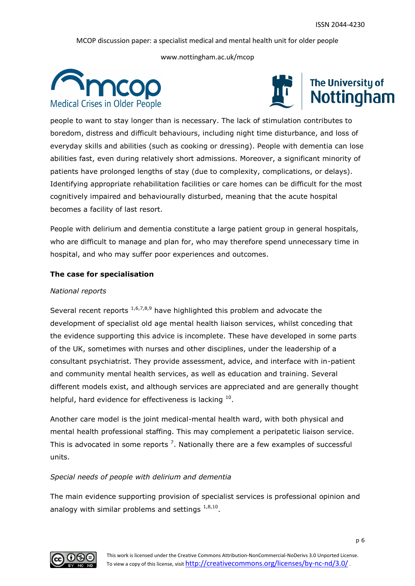www.nottingham.ac.uk/mcop





people to want to stay longer than is necessary. The lack of stimulation contributes to boredom, distress and difficult behaviours, including night time disturbance, and loss of everyday skills and abilities (such as cooking or dressing). People with dementia can lose abilities fast, even during relatively short admissions. Moreover, a significant minority of patients have prolonged lengths of stay (due to complexity, complications, or delays). Identifying appropriate rehabilitation facilities or care homes can be difficult for the most cognitively impaired and behaviourally disturbed, meaning that the acute hospital becomes a facility of last resort.

People with delirium and dementia constitute a large patient group in general hospitals, who are difficult to manage and plan for, who may therefore spend unnecessary time in hospital, and who may suffer poor experiences and outcomes.

# **The case for specialisation**

#### *National reports*

Several recent reports  $1,6,7,8,9$  have highlighted this problem and advocate the development of specialist old age mental health liaison services, whilst conceding that the evidence supporting this advice is incomplete. These have developed in some parts of the UK, sometimes with nurses and other disciplines, under the leadership of a consultant psychiatrist. They provide assessment, advice, and interface with in-patient and community mental health services, as well as education and training. Several different models exist, and although services are appreciated and are generally thought helpful, hard evidence for effectiveness is lacking  $^{10}$ .

Another care model is the joint medical-mental health ward, with both physical and mental health professional staffing. This may complement a peripatetic liaison service. This is advocated in some reports  $^7$ . Nationally there are a few examples of successful units.

# *Special needs of people with delirium and dementia*

The main evidence supporting provision of specialist services is professional opinion and analogy with similar problems and settings  $1,8,10$ .

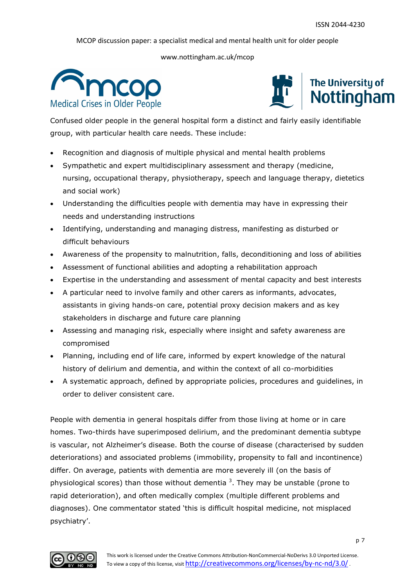www.nottingham.ac.uk/mcop





Confused older people in the general hospital form a distinct and fairly easily identifiable group, with particular health care needs. These include:

- Recognition and diagnosis of multiple physical and mental health problems
- Sympathetic and expert multidisciplinary assessment and therapy (medicine, nursing, occupational therapy, physiotherapy, speech and language therapy, dietetics and social work)
- Understanding the difficulties people with dementia may have in expressing their needs and understanding instructions
- Identifying, understanding and managing distress, manifesting as disturbed or difficult behaviours
- Awareness of the propensity to malnutrition, falls, deconditioning and loss of abilities
- Assessment of functional abilities and adopting a rehabilitation approach
- Expertise in the understanding and assessment of mental capacity and best interests
- A particular need to involve family and other carers as informants, advocates, assistants in giving hands-on care, potential proxy decision makers and as key stakeholders in discharge and future care planning
- Assessing and managing risk, especially where insight and safety awareness are compromised
- Planning, including end of life care, informed by expert knowledge of the natural history of delirium and dementia, and within the context of all co-morbidities
- A systematic approach, defined by appropriate policies, procedures and guidelines, in order to deliver consistent care.

People with dementia in general hospitals differ from those living at home or in care homes. Two-thirds have superimposed delirium, and the predominant dementia subtype is vascular, not Alzheimer's disease. Both the course of disease (characterised by sudden deteriorations) and associated problems (immobility, propensity to fall and incontinence) differ. On average, patients with dementia are more severely ill (on the basis of physiological scores) than those without dementia  $3$ . They may be unstable (prone to rapid deterioration), and often medically complex (multiple different problems and diagnoses). One commentator stated 'this is difficult hospital medicine, not misplaced psychiatry'.

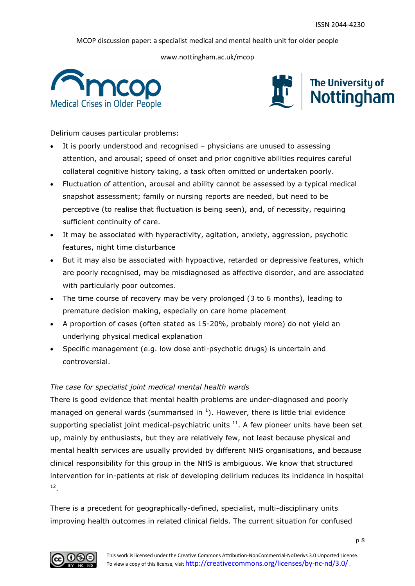www.nottingham.ac.uk/mcop





Delirium causes particular problems:

- It is poorly understood and recognised physicians are unused to assessing attention, and arousal; speed of onset and prior cognitive abilities requires careful collateral cognitive history taking, a task often omitted or undertaken poorly.
- Fluctuation of attention, arousal and ability cannot be assessed by a typical medical snapshot assessment; family or nursing reports are needed, but need to be perceptive (to realise that fluctuation is being seen), and, of necessity, requiring sufficient continuity of care.
- It may be associated with hyperactivity, agitation, anxiety, aggression, psychotic features, night time disturbance
- But it may also be associated with hypoactive, retarded or depressive features, which are poorly recognised, may be misdiagnosed as affective disorder, and are associated with particularly poor outcomes.
- The time course of recovery may be very prolonged (3 to 6 months), leading to premature decision making, especially on care home placement
- A proportion of cases (often stated as 15-20%, probably more) do not yield an underlying physical medical explanation
- Specific management (e.g. low dose anti-psychotic drugs) is uncertain and controversial.

# *The case for specialist joint medical mental health wards*

There is good evidence that mental health problems are under-diagnosed and poorly managed on general wards (summarised in  $<sup>1</sup>$ ). However, there is little trial evidence</sup> supporting specialist joint medical-psychiatric units  $11$ . A few pioneer units have been set up, mainly by enthusiasts, but they are relatively few, not least because physical and mental health services are usually provided by different NHS organisations, and because clinical responsibility for this group in the NHS is ambiguous. We know that structured intervention for in-patients at risk of developing delirium reduces its incidence in hospital 12 .

There is a precedent for geographically-defined, specialist, multi-disciplinary units improving health outcomes in related clinical fields. The current situation for confused

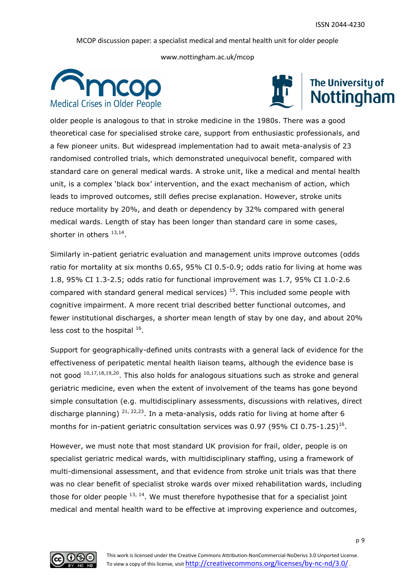www.nottingham.ac.uk/mcop





older people is analogous to that in stroke medicine in the 1980s. There was a good theoretical case for specialised stroke care, support from enthusiastic professionals, and a few pioneer units. But widespread implementation had to await meta-analysis of 23 randomised controlled trials, which demonstrated unequivocal benefit, compared with standard care on general medical wards. A stroke unit, like a medical and mental health unit, is a complex 'black box' intervention, and the exact mechanism of action, which leads to improved outcomes, still defies precise explanation. However, stroke units reduce mortality by 20%, and death or dependency by 32% compared with general medical wards. Length of stay has been longer than standard care in some cases, shorter in others  $^{13,14}$ .

Similarly in-patient geriatric evaluation and management units improve outcomes (odds ratio for mortality at six months 0.65, 95% CI 0.5-0.9; odds ratio for living at home was 1.8, 95% CI 1.3-2.5; odds ratio for functional improvement was 1.7, 95% CI 1.0-2.6 compared with standard general medical services)  $15$ . This included some people with cognitive impairment. A more recent trial described better functional outcomes, and fewer institutional discharges, a shorter mean length of stay by one day, and about 20% less cost to the hospital  $^{16}$ .

Support for geographically-defined units contrasts with a general lack of evidence for the effectiveness of peripatetic mental health liaison teams, although the evidence base is not good  $10,17,18,19,20$ . This also holds for analogous situations such as stroke and general geriatric medicine, even when the extent of involvement of the teams has gone beyond simple consultation (e.g. multidisciplinary assessments, discussions with relatives, direct discharge planning)  $21, 22, 23$ . In a meta-analysis, odds ratio for living at home after 6 months for in-patient geriatric consultation services was 0.97 (95% CI 0.75-1.25)<sup>16</sup>.

However, we must note that most standard UK provision for frail, older, people is on specialist geriatric medical wards, with multidisciplinary staffing, using a framework of multi-dimensional assessment, and that evidence from stroke unit trials was that there was no clear benefit of specialist stroke wards over mixed rehabilitation wards, including those for older people  $^{13, 14}$ . We must therefore hypothesise that for a specialist joint medical and mental health ward to be effective at improving experience and outcomes,

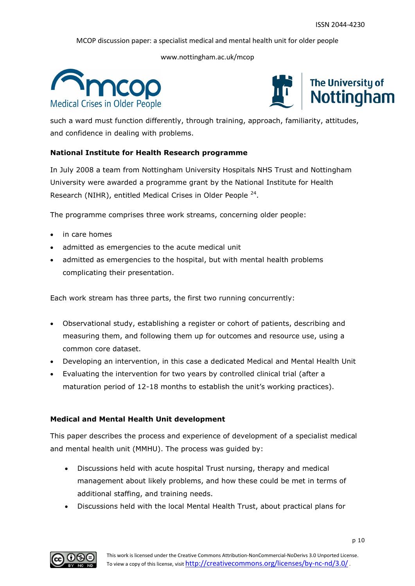www.nottingham.ac.uk/mcop





such a ward must function differently, through training, approach, familiarity, attitudes, and confidence in dealing with problems.

# **National Institute for Health Research programme**

In July 2008 a team from Nottingham University Hospitals NHS Trust and Nottingham University were awarded a programme grant by the National Institute for Health Research (NIHR), entitled Medical Crises in Older People<sup>24</sup>.

The programme comprises three work streams, concerning older people:

- in care homes
- admitted as emergencies to the acute medical unit
- admitted as emergencies to the hospital, but with mental health problems complicating their presentation.

Each work stream has three parts, the first two running concurrently:

- Observational study, establishing a register or cohort of patients, describing and measuring them, and following them up for outcomes and resource use, using a common core dataset.
- Developing an intervention, in this case a dedicated Medical and Mental Health Unit
- Evaluating the intervention for two years by controlled clinical trial (after a maturation period of 12-18 months to establish the unit's working practices).

# **Medical and Mental Health Unit development**

This paper describes the process and experience of development of a specialist medical and mental health unit (MMHU). The process was guided by:

- Discussions held with acute hospital Trust nursing, therapy and medical management about likely problems, and how these could be met in terms of additional staffing, and training needs.
- Discussions held with the local Mental Health Trust, about practical plans for

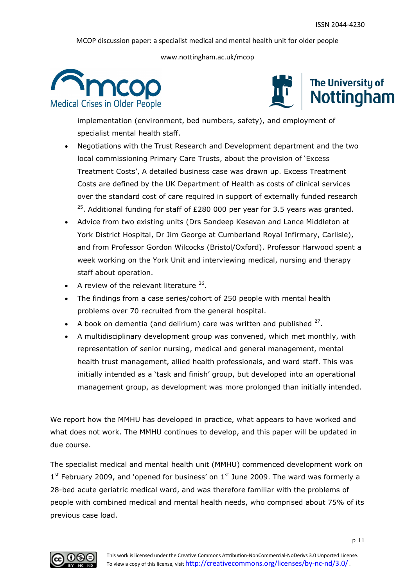www.nottingham.ac.uk/mcop





implementation (environment, bed numbers, safety), and employment of specialist mental health staff.

- Negotiations with the Trust Research and Development department and the two local commissioning Primary Care Trusts, about the provision of 'Excess Treatment Costs', A detailed business case was drawn up. Excess Treatment Costs are defined by the UK Department of Health as costs of clinical services over the standard cost of care required in support of externally funded research  $25$ . Additional funding for staff of £280 000 per year for 3.5 years was granted.
- Advice from two existing units (Drs Sandeep Kesevan and Lance Middleton at York District Hospital, Dr Jim George at Cumberland Royal Infirmary, Carlisle), and from Professor Gordon Wilcocks (Bristol/Oxford). Professor Harwood spent a week working on the York Unit and interviewing medical, nursing and therapy staff about operation.
- A review of the relevant literature  $26$ .
- The findings from a case series/cohort of 250 people with mental health problems over 70 recruited from the general hospital.
- A book on dementia (and delirium) care was written and published  $27$ .
- A multidisciplinary development group was convened, which met monthly, with representation of senior nursing, medical and general management, mental health trust management, allied health professionals, and ward staff. This was initially intended as a 'task and finish' group, but developed into an operational management group, as development was more prolonged than initially intended.

We report how the MMHU has developed in practice, what appears to have worked and what does not work. The MMHU continues to develop, and this paper will be updated in due course.

The specialist medical and mental health unit (MMHU) commenced development work on 1<sup>st</sup> February 2009, and 'opened for business' on 1<sup>st</sup> June 2009. The ward was formerly a 28-bed acute geriatric medical ward, and was therefore familiar with the problems of people with combined medical and mental health needs, who comprised about 75% of its previous case load.

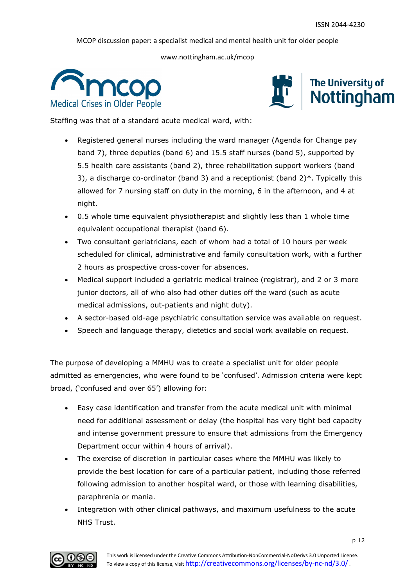www.nottingham.ac.uk/mcop





Staffing was that of a standard acute medical ward, with:

- Registered general nurses including the ward manager (Agenda for Change pay band 7), three deputies (band 6) and 15.5 staff nurses (band 5), supported by 5.5 health care assistants (band 2), three rehabilitation support workers (band 3), a discharge co-ordinator (band 3) and a receptionist (band 2)\*. Typically this allowed for 7 nursing staff on duty in the morning, 6 in the afternoon, and 4 at night.
- 0.5 whole time equivalent physiotherapist and slightly less than 1 whole time equivalent occupational therapist (band 6).
- Two consultant geriatricians, each of whom had a total of 10 hours per week scheduled for clinical, administrative and family consultation work, with a further 2 hours as prospective cross-cover for absences.
- Medical support included a geriatric medical trainee (registrar), and 2 or 3 more junior doctors, all of who also had other duties off the ward (such as acute medical admissions, out-patients and night duty).
- A sector-based old-age psychiatric consultation service was available on request.
- Speech and language therapy, dietetics and social work available on request.

The purpose of developing a MMHU was to create a specialist unit for older people admitted as emergencies, who were found to be 'confused'. Admission criteria were kept broad, ('confused and over 65') allowing for:

- Easy case identification and transfer from the acute medical unit with minimal need for additional assessment or delay (the hospital has very tight bed capacity and intense government pressure to ensure that admissions from the Emergency Department occur within 4 hours of arrival).
- The exercise of discretion in particular cases where the MMHU was likely to provide the best location for care of a particular patient, including those referred following admission to another hospital ward, or those with learning disabilities, paraphrenia or mania.
- Integration with other clinical pathways, and maximum usefulness to the acute NHS Trust.

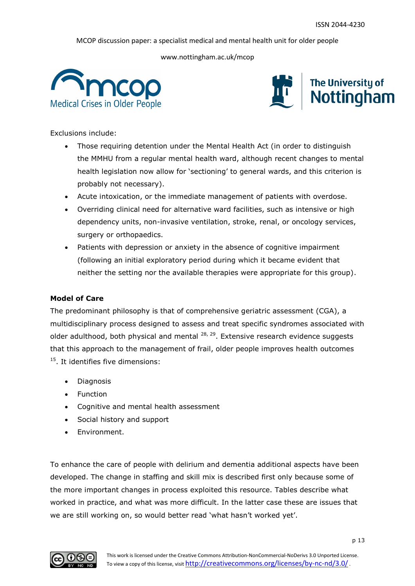www.nottingham.ac.uk/mcop





Exclusions include:

- Those requiring detention under the Mental Health Act (in order to distinguish the MMHU from a regular mental health ward, although recent changes to mental health legislation now allow for 'sectioning' to general wards, and this criterion is probably not necessary).
- Acute intoxication, or the immediate management of patients with overdose.
- Overriding clinical need for alternative ward facilities, such as intensive or high dependency units, non-invasive ventilation, stroke, renal, or oncology services, surgery or orthopaedics.
- Patients with depression or anxiety in the absence of cognitive impairment (following an initial exploratory period during which it became evident that neither the setting nor the available therapies were appropriate for this group).

# **Model of Care**

The predominant philosophy is that of comprehensive geriatric assessment (CGA), a multidisciplinary process designed to assess and treat specific syndromes associated with older adulthood, both physical and mental  $^{28, 29}$ . Extensive research evidence suggests that this approach to the management of frail, older people improves health outcomes <sup>15</sup>. It identifies five dimensions:

- Diagnosis
- Function
- Cognitive and mental health assessment
- Social history and support
- **Environment.**

To enhance the care of people with delirium and dementia additional aspects have been developed. The change in staffing and skill mix is described first only because some of the more important changes in process exploited this resource. Tables describe what worked in practice, and what was more difficult. In the latter case these are issues that we are still working on, so would better read 'what hasn't worked yet'.

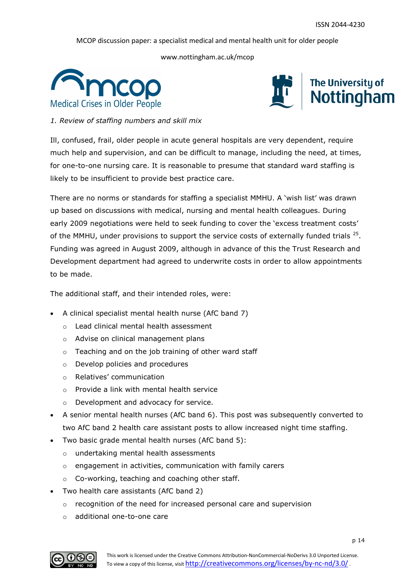www.nottingham.ac.uk/mcop





*1. Review of staffing numbers and skill mix*

Ill, confused, frail, older people in acute general hospitals are very dependent, require much help and supervision, and can be difficult to manage, including the need, at times, for one-to-one nursing care. It is reasonable to presume that standard ward staffing is likely to be insufficient to provide best practice care.

There are no norms or standards for staffing a specialist MMHU. A 'wish list' was drawn up based on discussions with medical, nursing and mental health colleagues. During early 2009 negotiations were held to seek funding to cover the 'excess treatment costs' of the MMHU, under provisions to support the service costs of externally funded trials  $25$ . Funding was agreed in August 2009, although in advance of this the Trust Research and Development department had agreed to underwrite costs in order to allow appointments to be made.

The additional staff, and their intended roles, were:

- A clinical specialist mental health nurse (AfC band 7)
	- o Lead clinical mental health assessment
	- o Advise on clinical management plans
	- o Teaching and on the job training of other ward staff
	- o Develop policies and procedures
	- o Relatives' communication
	- o Provide a link with mental health service
	- o Development and advocacy for service.
- A senior mental health nurses (AfC band 6). This post was subsequently converted to two AfC band 2 health care assistant posts to allow increased night time staffing.
- Two basic grade mental health nurses (AfC band 5):
	- o undertaking mental health assessments
	- o engagement in activities, communication with family carers
	- o Co-working, teaching and coaching other staff.
- Two health care assistants (AfC band 2)
	- o recognition of the need for increased personal care and supervision
	- o additional one-to-one care

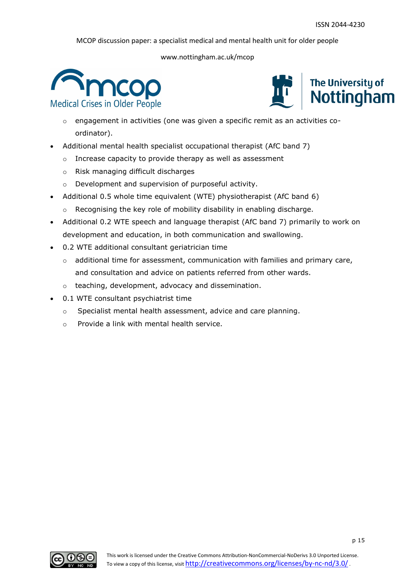



- $\circ$  engagement in activities (one was given a specific remit as an activities coordinator).
- Additional mental health specialist occupational therapist (AfC band 7)
	- o Increase capacity to provide therapy as well as assessment
	- o Risk managing difficult discharges
	- o Development and supervision of purposeful activity.
- Additional 0.5 whole time equivalent (WTE) physiotherapist (AfC band 6)
	- o Recognising the key role of mobility disability in enabling discharge.
- Additional 0.2 WTE speech and language therapist (AfC band 7) primarily to work on development and education, in both communication and swallowing.
- 0.2 WTE additional consultant geriatrician time
	- $\circ$  additional time for assessment, communication with families and primary care, and consultation and advice on patients referred from other wards.
	- o teaching, development, advocacy and dissemination.
- 0.1 WTE consultant psychiatrist time
	- o Specialist mental health assessment, advice and care planning.
	- o Provide a link with mental health service.

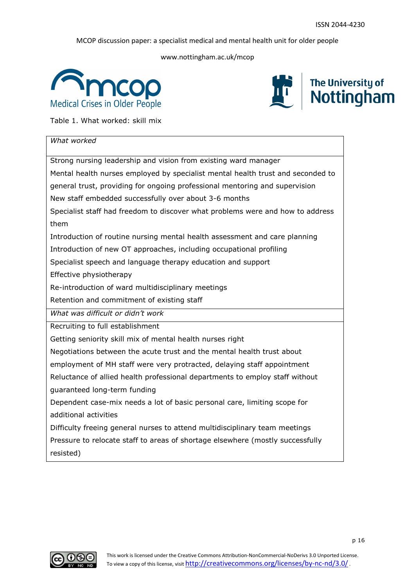www.nottingham.ac.uk/mcop





Table 1. What worked: skill mix

| What worked                                                                     |
|---------------------------------------------------------------------------------|
| Strong nursing leadership and vision from existing ward manager                 |
| Mental health nurses employed by specialist mental health trust and seconded to |
| general trust, providing for ongoing professional mentoring and supervision     |
| New staff embedded successfully over about 3-6 months                           |
| Specialist staff had freedom to discover what problems were and how to address  |
| them                                                                            |
| Introduction of routine nursing mental health assessment and care planning      |
| Introduction of new OT approaches, including occupational profiling             |
| Specialist speech and language therapy education and support                    |
| Effective physiotherapy                                                         |
| Re-introduction of ward multidisciplinary meetings                              |
| Retention and commitment of existing staff                                      |
| What was difficult or didn't work                                               |
| Recruiting to full establishment                                                |
| Getting seniority skill mix of mental health nurses right                       |
| Negotiations between the acute trust and the mental health trust about          |
| employment of MH staff were very protracted, delaying staff appointment         |
| Reluctance of allied health professional departments to employ staff without    |
| guaranteed long-term funding                                                    |
| Dependent case-mix needs a lot of basic personal care, limiting scope for       |
| additional activities                                                           |
| Difficulty freeing general nurses to attend multidisciplinary team meetings     |
| Pressure to relocate staff to areas of shortage elsewhere (mostly successfully  |
| resisted)                                                                       |

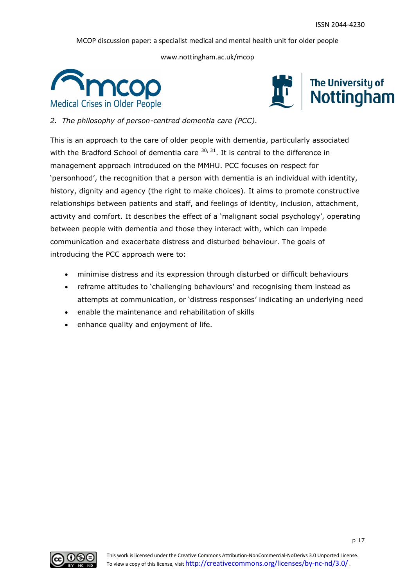www.nottingham.ac.uk/mcop





*2. The philosophy of person-centred dementia care (PCC).*

This is an approach to the care of older people with dementia, particularly associated with the Bradford School of dementia care  $30, 31$ . It is central to the difference in management approach introduced on the MMHU. PCC focuses on respect for 'personhood', the recognition that a person with dementia is an individual with identity, history, dignity and agency (the right to make choices). It aims to promote constructive relationships between patients and staff, and feelings of identity, inclusion, attachment, activity and comfort. It describes the effect of a 'malignant social psychology', operating between people with dementia and those they interact with, which can impede communication and exacerbate distress and disturbed behaviour. The goals of introducing the PCC approach were to:

- minimise distress and its expression through disturbed or difficult behaviours
- reframe attitudes to 'challenging behaviours' and recognising them instead as attempts at communication, or 'distress responses' indicating an underlying need
- enable the maintenance and rehabilitation of skills
- enhance quality and enjoyment of life.

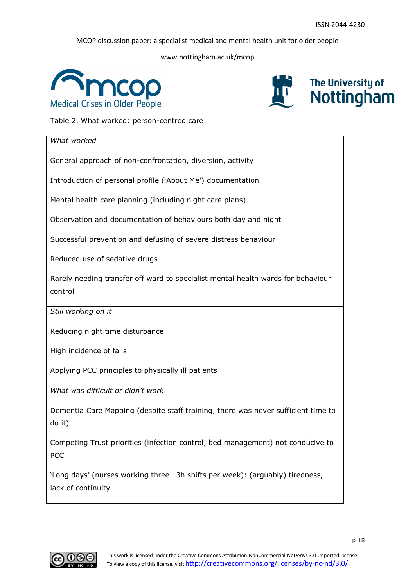www.nottingham.ac.uk/mcop





Table 2. What worked: person-centred care

| What worked                                                                                         |
|-----------------------------------------------------------------------------------------------------|
| General approach of non-confrontation, diversion, activity                                          |
| Introduction of personal profile ('About Me') documentation                                         |
| Mental health care planning (including night care plans)                                            |
| Observation and documentation of behaviours both day and night                                      |
| Successful prevention and defusing of severe distress behaviour                                     |
| Reduced use of sedative drugs                                                                       |
| Rarely needing transfer off ward to specialist mental health wards for behaviour<br>control         |
| Still working on it                                                                                 |
| Reducing night time disturbance                                                                     |
| High incidence of falls                                                                             |
| Applying PCC principles to physically ill patients                                                  |
| What was difficult or didn't work                                                                   |
| Dementia Care Mapping (despite staff training, there was never sufficient time to<br>do it)         |
| Competing Trust priorities (infection control, bed management) not conducive to<br>PCC              |
| 'Long days' (nurses working three 13h shifts per week): (arguably) tiredness,<br>lack of continuity |

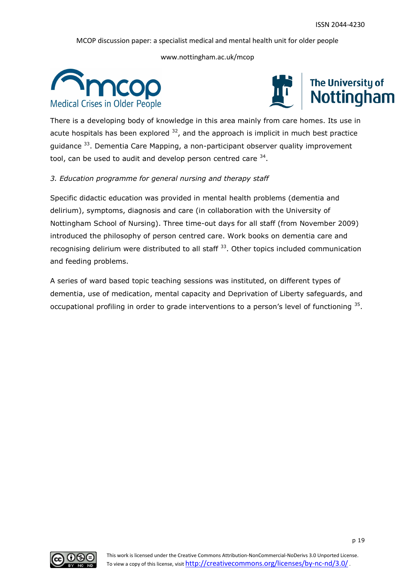www.nottingham.ac.uk/mcop





There is a developing body of knowledge in this area mainly from care homes. Its use in acute hospitals has been explored  $32$ , and the approach is implicit in much best practice guidance <sup>33</sup>. Dementia Care Mapping, a non-participant observer quality improvement tool, can be used to audit and develop person centred care  $34$ .

# *3. Education programme for general nursing and therapy staff*

Specific didactic education was provided in mental health problems (dementia and delirium), symptoms, diagnosis and care (in collaboration with the University of Nottingham School of Nursing). Three time-out days for all staff (from November 2009) introduced the philosophy of person centred care. Work books on dementia care and recognising delirium were distributed to all staff  $33$ . Other topics included communication and feeding problems.

A series of ward based topic teaching sessions was instituted, on different types of dementia, use of medication, mental capacity and Deprivation of Liberty safeguards, and occupational profiling in order to grade interventions to a person's level of functioning <sup>35</sup>.

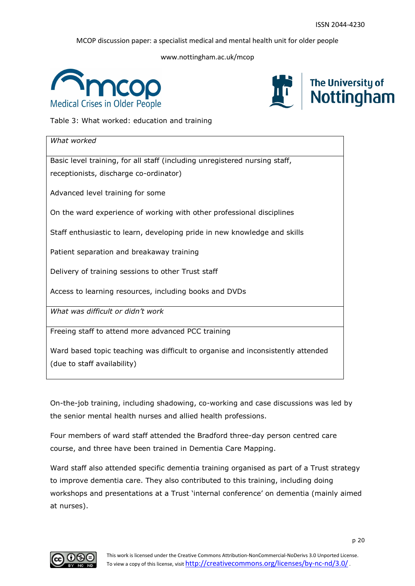www.nottingham.ac.uk/mcop





Table 3: What worked: education and training

| What worked                                                                     |
|---------------------------------------------------------------------------------|
| Basic level training, for all staff (including unregistered nursing staff,      |
| receptionists, discharge co-ordinator)                                          |
| Advanced level training for some                                                |
| On the ward experience of working with other professional disciplines           |
| Staff enthusiastic to learn, developing pride in new knowledge and skills       |
| Patient separation and breakaway training                                       |
| Delivery of training sessions to other Trust staff                              |
| Access to learning resources, including books and DVDs                          |
| What was difficult or didn't work                                               |
| Freeing staff to attend more advanced PCC training                              |
| Ward based topic teaching was difficult to organise and inconsistently attended |
| (due to staff availability)                                                     |

On-the-job training, including shadowing, co-working and case discussions was led by the senior mental health nurses and allied health professions.

Four members of ward staff attended the Bradford three-day person centred care course, and three have been trained in Dementia Care Mapping.

Ward staff also attended specific dementia training organised as part of a Trust strategy to improve dementia care. They also contributed to this training, including doing workshops and presentations at a Trust 'internal conference' on dementia (mainly aimed at nurses).

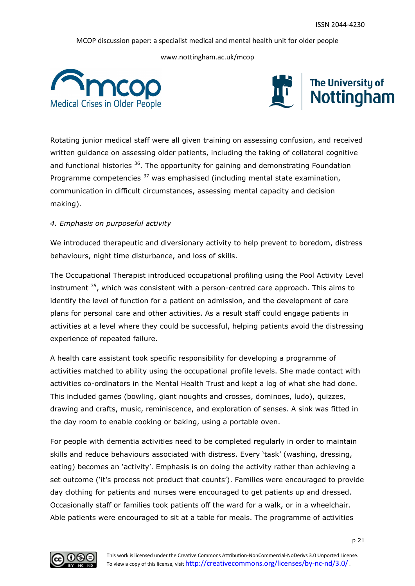www.nottingham.ac.uk/mcop





Rotating junior medical staff were all given training on assessing confusion, and received written guidance on assessing older patients, including the taking of collateral cognitive and functional histories  $36$ . The opportunity for gaining and demonstrating Foundation Programme competencies  $37$  was emphasised (including mental state examination, communication in difficult circumstances, assessing mental capacity and decision making).

# *4. Emphasis on purposeful activity*

We introduced therapeutic and diversionary activity to help prevent to boredom, distress behaviours, night time disturbance, and loss of skills.

The Occupational Therapist introduced occupational profiling using the Pool Activity Level instrument  $35$ , which was consistent with a person-centred care approach. This aims to identify the level of function for a patient on admission, and the development of care plans for personal care and other activities. As a result staff could engage patients in activities at a level where they could be successful, helping patients avoid the distressing experience of repeated failure.

A health care assistant took specific responsibility for developing a programme of activities matched to ability using the occupational profile levels. She made contact with activities co-ordinators in the Mental Health Trust and kept a log of what she had done. This included games (bowling, giant noughts and crosses, dominoes, ludo), quizzes, drawing and crafts, music, reminiscence, and exploration of senses. A sink was fitted in the day room to enable cooking or baking, using a portable oven.

For people with dementia activities need to be completed regularly in order to maintain skills and reduce behaviours associated with distress. Every 'task' (washing, dressing, eating) becomes an 'activity'. Emphasis is on doing the activity rather than achieving a set outcome ('it's process not product that counts'). Families were encouraged to provide day clothing for patients and nurses were encouraged to get patients up and dressed. Occasionally staff or families took patients off the ward for a walk, or in a wheelchair. Able patients were encouraged to sit at a table for meals. The programme of activities

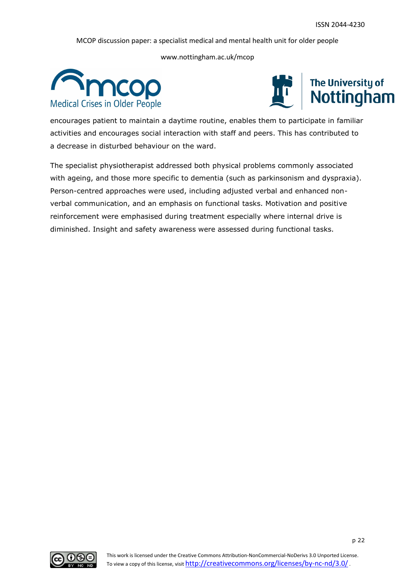www.nottingham.ac.uk/mcop





encourages patient to maintain a daytime routine, enables them to participate in familiar activities and encourages social interaction with staff and peers. This has contributed to a decrease in disturbed behaviour on the ward.

The specialist physiotherapist addressed both physical problems commonly associated with ageing, and those more specific to dementia (such as parkinsonism and dyspraxia). Person-centred approaches were used, including adjusted verbal and enhanced nonverbal communication, and an emphasis on functional tasks. Motivation and positive reinforcement were emphasised during treatment especially where internal drive is diminished. Insight and safety awareness were assessed during functional tasks.

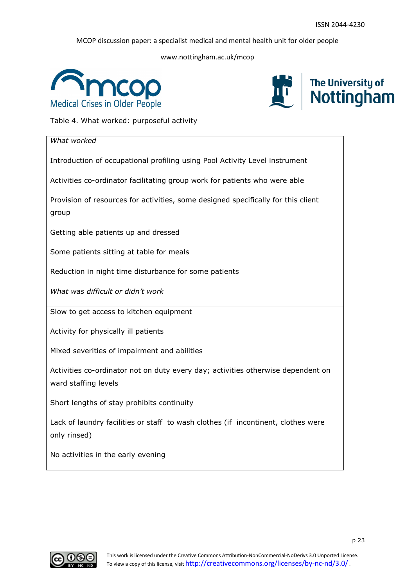www.nottingham.ac.uk/mcop





Table 4. What worked: purposeful activity

| What worked                                                                                              |
|----------------------------------------------------------------------------------------------------------|
| Introduction of occupational profiling using Pool Activity Level instrument                              |
| Activities co-ordinator facilitating group work for patients who were able                               |
| Provision of resources for activities, some designed specifically for this client<br>group               |
| Getting able patients up and dressed                                                                     |
| Some patients sitting at table for meals                                                                 |
| Reduction in night time disturbance for some patients                                                    |
| What was difficult or didn't work                                                                        |
| Slow to get access to kitchen equipment                                                                  |
| Activity for physically ill patients                                                                     |
| Mixed severities of impairment and abilities                                                             |
| Activities co-ordinator not on duty every day; activities otherwise dependent on<br>ward staffing levels |
| Short lengths of stay prohibits continuity                                                               |
| Lack of laundry facilities or staff to wash clothes (if incontinent, clothes were<br>only rinsed)        |
| No activities in the early evening                                                                       |

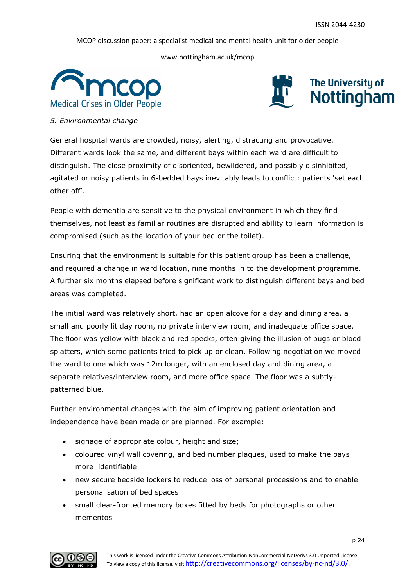www.nottingham.ac.uk/mcop





*5. Environmental change*

General hospital wards are crowded, noisy, alerting, distracting and provocative. Different wards look the same, and different bays within each ward are difficult to distinguish. The close proximity of disoriented, bewildered, and possibly disinhibited, agitated or noisy patients in 6-bedded bays inevitably leads to conflict: patients 'set each other off'.

People with dementia are sensitive to the physical environment in which they find themselves, not least as familiar routines are disrupted and ability to learn information is compromised (such as the location of your bed or the toilet).

Ensuring that the environment is suitable for this patient group has been a challenge, and required a change in ward location, nine months in to the development programme. A further six months elapsed before significant work to distinguish different bays and bed areas was completed.

The initial ward was relatively short, had an open alcove for a day and dining area, a small and poorly lit day room, no private interview room, and inadequate office space. The floor was yellow with black and red specks, often giving the illusion of bugs or blood splatters, which some patients tried to pick up or clean. Following negotiation we moved the ward to one which was 12m longer, with an enclosed day and dining area, a separate relatives/interview room, and more office space. The floor was a subtlypatterned blue.

Further environmental changes with the aim of improving patient orientation and independence have been made or are planned. For example:

- signage of appropriate colour, height and size;
- coloured vinyl wall covering, and bed number plaques, used to make the bays more identifiable
- new secure bedside lockers to reduce loss of personal processions and to enable personalisation of bed spaces
- small clear-fronted memory boxes fitted by beds for photographs or other mementos

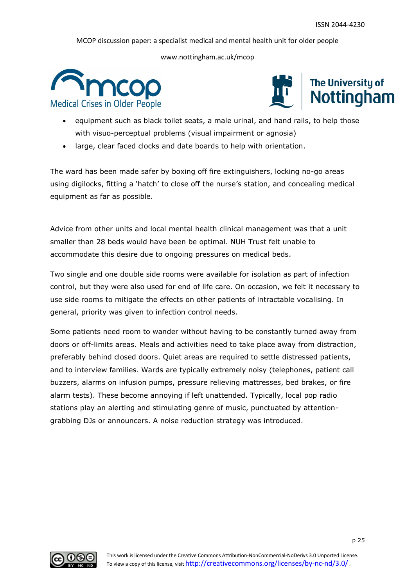www.nottingham.ac.uk/mcop





- equipment such as black toilet seats, a male urinal, and hand rails, to help those with visuo-perceptual problems (visual impairment or agnosia)
- large, clear faced clocks and date boards to help with orientation.

The ward has been made safer by boxing off fire extinguishers, locking no-go areas using digilocks, fitting a 'hatch' to close off the nurse's station, and concealing medical equipment as far as possible.

Advice from other units and local mental health clinical management was that a unit smaller than 28 beds would have been be optimal. NUH Trust felt unable to accommodate this desire due to ongoing pressures on medical beds.

Two single and one double side rooms were available for isolation as part of infection control, but they were also used for end of life care. On occasion, we felt it necessary to use side rooms to mitigate the effects on other patients of intractable vocalising. In general, priority was given to infection control needs.

Some patients need room to wander without having to be constantly turned away from doors or off-limits areas. Meals and activities need to take place away from distraction, preferably behind closed doors. Quiet areas are required to settle distressed patients, and to interview families. Wards are typically extremely noisy (telephones, patient call buzzers, alarms on infusion pumps, pressure relieving mattresses, bed brakes, or fire alarm tests). These become annoying if left unattended. Typically, local pop radio stations play an alerting and stimulating genre of music, punctuated by attentiongrabbing DJs or announcers. A noise reduction strategy was introduced.

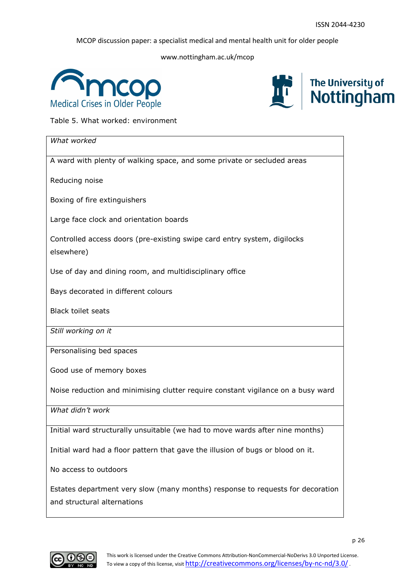www.nottingham.ac.uk/mcop





Table 5. What worked: environment

| What worked                                                                                                   |
|---------------------------------------------------------------------------------------------------------------|
| A ward with plenty of walking space, and some private or secluded areas                                       |
| Reducing noise                                                                                                |
| Boxing of fire extinguishers                                                                                  |
| Large face clock and orientation boards                                                                       |
| Controlled access doors (pre-existing swipe card entry system, digilocks<br>elsewhere)                        |
| Use of day and dining room, and multidisciplinary office                                                      |
| Bays decorated in different colours                                                                           |
| <b>Black toilet seats</b>                                                                                     |
| Still working on it                                                                                           |
| Personalising bed spaces                                                                                      |
| Good use of memory boxes                                                                                      |
| Noise reduction and minimising clutter require constant vigilance on a busy ward                              |
| What didn't work                                                                                              |
| Initial ward structurally unsuitable (we had to move wards after nine months)                                 |
| Initial ward had a floor pattern that gave the illusion of bugs or blood on it.                               |
| No access to outdoors                                                                                         |
| Estates department very slow (many months) response to requests for decoration<br>and structural alternations |

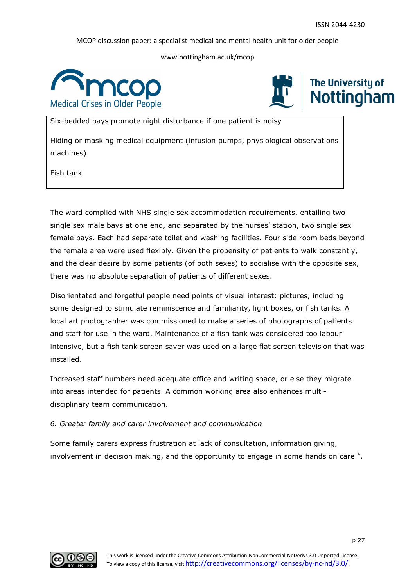www.nottingham.ac.uk/mcop





# **The University of** Nottingham

Six-bedded bays promote night disturbance if one patient is noisy

Hiding or masking medical equipment (infusion pumps, physiological observations machines)

Fish tank

The ward complied with NHS single sex accommodation requirements, entailing two single sex male bays at one end, and separated by the nurses' station, two single sex female bays. Each had separate toilet and washing facilities. Four side room beds beyond the female area were used flexibly. Given the propensity of patients to walk constantly, and the clear desire by some patients (of both sexes) to socialise with the opposite sex, there was no absolute separation of patients of different sexes.

Disorientated and forgetful people need points of visual interest: pictures, including some designed to stimulate reminiscence and familiarity, light boxes, or fish tanks. A local art photographer was commissioned to make a series of photographs of patients and staff for use in the ward. Maintenance of a fish tank was considered too labour intensive, but a fish tank screen saver was used on a large flat screen television that was installed.

Increased staff numbers need adequate office and writing space, or else they migrate into areas intended for patients. A common working area also enhances multidisciplinary team communication.

# *6. Greater family and carer involvement and communication*

Some family carers express frustration at lack of consultation, information giving, involvement in decision making, and the opportunity to engage in some hands on care  $4$ .

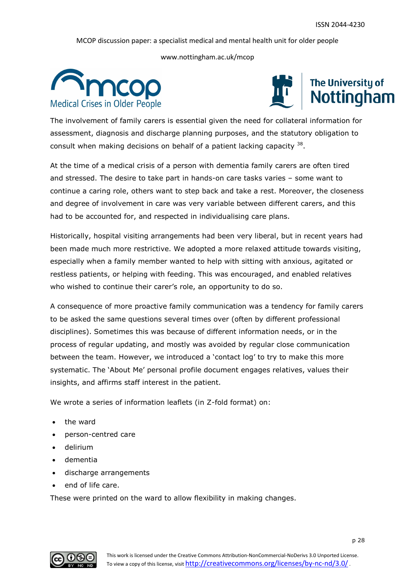www.nottingham.ac.uk/mcop





The involvement of family carers is essential given the need for collateral information for assessment, diagnosis and discharge planning purposes, and the statutory obligation to consult when making decisions on behalf of a patient lacking capacity  $38$ .

At the time of a medical crisis of a person with dementia family carers are often tired and stressed. The desire to take part in hands-on care tasks varies – some want to continue a caring role, others want to step back and take a rest. Moreover, the closeness and degree of involvement in care was very variable between different carers, and this had to be accounted for, and respected in individualising care plans.

Historically, hospital visiting arrangements had been very liberal, but in recent years had been made much more restrictive. We adopted a more relaxed attitude towards visiting, especially when a family member wanted to help with sitting with anxious, agitated or restless patients, or helping with feeding. This was encouraged, and enabled relatives who wished to continue their carer's role, an opportunity to do so.

A consequence of more proactive family communication was a tendency for family carers to be asked the same questions several times over (often by different professional disciplines). Sometimes this was because of different information needs, or in the process of regular updating, and mostly was avoided by regular close communication between the team. However, we introduced a 'contact log' to try to make this more systematic. The 'About Me' personal profile document engages relatives, values their insights, and affirms staff interest in the patient.

We wrote a series of information leaflets (in Z-fold format) on:

- the ward
- person-centred care
- delirium
- dementia
- discharge arrangements
- end of life care.

These were printed on the ward to allow flexibility in making changes.

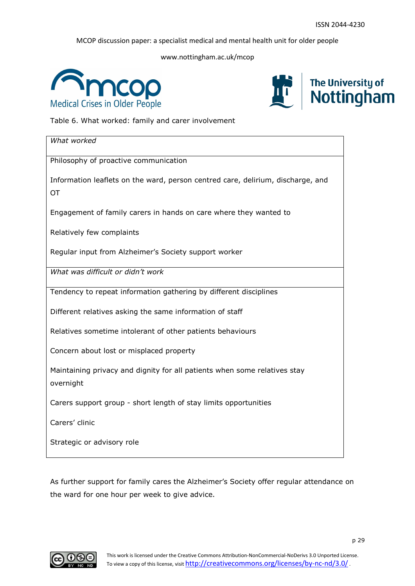www.nottingham.ac.uk/mcop





Table 6. What worked: family and carer involvement

| What worked                                                                     |
|---------------------------------------------------------------------------------|
| Philosophy of proactive communication                                           |
| Information leaflets on the ward, person centred care, delirium, discharge, and |
| OT                                                                              |
| Engagement of family carers in hands on care where they wanted to               |
| Relatively few complaints                                                       |
| Regular input from Alzheimer's Society support worker                           |
| What was difficult or didn't work                                               |
| Tendency to repeat information gathering by different disciplines               |
| Different relatives asking the same information of staff                        |
| Relatives sometime intolerant of other patients behaviours                      |
| Concern about lost or misplaced property                                        |
| Maintaining privacy and dignity for all patients when some relatives stay       |
| overnight                                                                       |
| Carers support group - short length of stay limits opportunities                |
| Carers' clinic                                                                  |
| Strategic or advisory role                                                      |

As further support for family cares the Alzheimer's Society offer regular attendance on the ward for one hour per week to give advice.

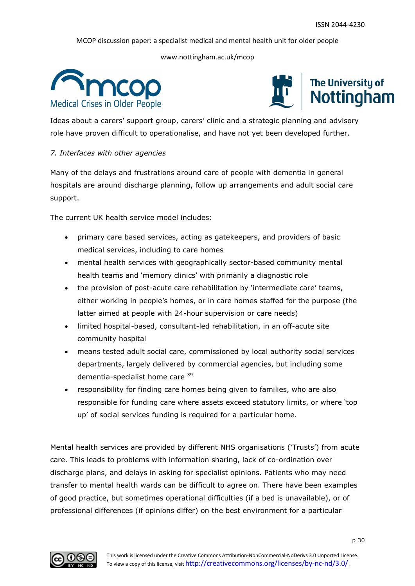www.nottingham.ac.uk/mcop





Ideas about a carers' support group, carers' clinic and a strategic planning and advisory role have proven difficult to operationalise, and have not yet been developed further.

#### *7. Interfaces with other agencies*

Many of the delays and frustrations around care of people with dementia in general hospitals are around discharge planning, follow up arrangements and adult social care support.

The current UK health service model includes:

- primary care based services, acting as gatekeepers, and providers of basic medical services, including to care homes
- mental health services with geographically sector-based community mental health teams and 'memory clinics' with primarily a diagnostic role
- the provision of post-acute care rehabilitation by 'intermediate care' teams, either working in people's homes, or in care homes staffed for the purpose (the latter aimed at people with 24-hour supervision or care needs)
- limited hospital-based, consultant-led rehabilitation, in an off-acute site community hospital
- means tested adult social care, commissioned by local authority social services departments, largely delivered by commercial agencies, but including some dementia-specialist home care 39
- responsibility for finding care homes being given to families, who are also responsible for funding care where assets exceed statutory limits, or where 'top up' of social services funding is required for a particular home.

Mental health services are provided by different NHS organisations ('Trusts') from acute care. This leads to problems with information sharing, lack of co-ordination over discharge plans, and delays in asking for specialist opinions. Patients who may need transfer to mental health wards can be difficult to agree on. There have been examples of good practice, but sometimes operational difficulties (if a bed is unavailable), or of professional differences (if opinions differ) on the best environment for a particular

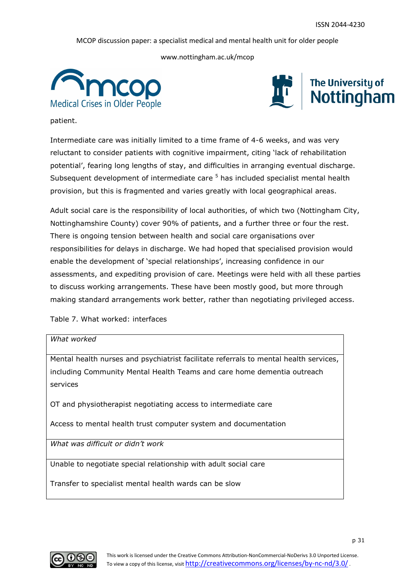www.nottingham.ac.uk/mcop





patient.

Intermediate care was initially limited to a time frame of 4-6 weeks, and was very reluctant to consider patients with cognitive impairment, citing 'lack of rehabilitation potential', fearing long lengths of stay, and difficulties in arranging eventual discharge. Subsequent development of intermediate care <sup>5</sup> has included specialist mental health provision, but this is fragmented and varies greatly with local geographical areas.

Adult social care is the responsibility of local authorities, of which two (Nottingham City, Nottinghamshire County) cover 90% of patients, and a further three or four the rest. There is ongoing tension between health and social care organisations over responsibilities for delays in discharge. We had hoped that specialised provision would enable the development of 'special relationships', increasing confidence in our assessments, and expediting provision of care. Meetings were held with all these parties to discuss working arrangements. These have been mostly good, but more through making standard arrangements work better, rather than negotiating privileged access.

Table 7. What worked: interfaces

*What worked*

Mental health nurses and psychiatrist facilitate referrals to mental health services, including Community Mental Health Teams and care home dementia outreach services

OT and physiotherapist negotiating access to intermediate care

Access to mental health trust computer system and documentation

*What was difficult or didn't work*

Unable to negotiate special relationship with adult social care

Transfer to specialist mental health wards can be slow

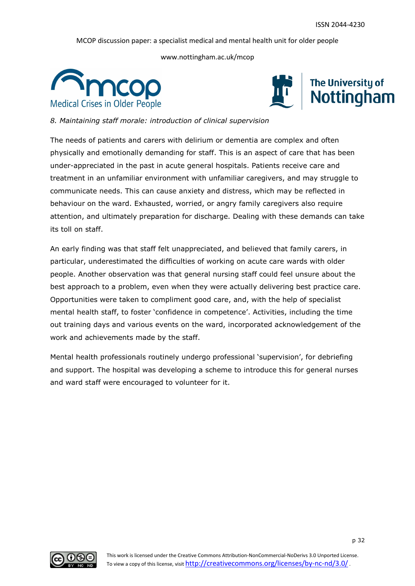www.nottingham.ac.uk/mcop





*8. Maintaining staff morale: introduction of clinical supervision*

The needs of patients and carers with delirium or dementia are complex and often physically and emotionally demanding for staff. This is an aspect of care that has been under-appreciated in the past in acute general hospitals. Patients receive care and treatment in an unfamiliar environment with unfamiliar caregivers, and may struggle to communicate needs. This can cause anxiety and distress, which may be reflected in behaviour on the ward. Exhausted, worried, or angry family caregivers also require attention, and ultimately preparation for discharge. Dealing with these demands can take its toll on staff.

An early finding was that staff felt unappreciated, and believed that family carers, in particular, underestimated the difficulties of working on acute care wards with older people. Another observation was that general nursing staff could feel unsure about the best approach to a problem, even when they were actually delivering best practice care. Opportunities were taken to compliment good care, and, with the help of specialist mental health staff, to foster 'confidence in competence'. Activities, including the time out training days and various events on the ward, incorporated acknowledgement of the work and achievements made by the staff.

Mental health professionals routinely undergo professional 'supervision', for debriefing and support. The hospital was developing a scheme to introduce this for general nurses and ward staff were encouraged to volunteer for it.

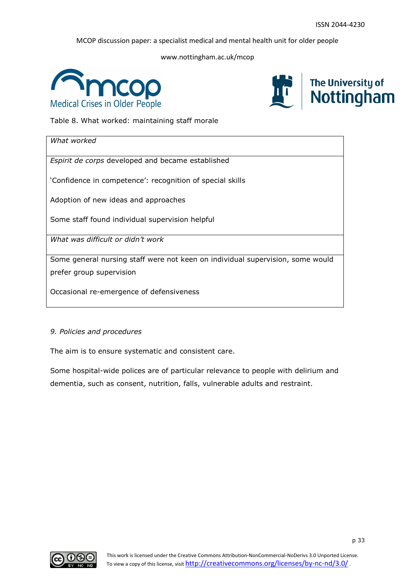www.nottingham.ac.uk/mcop





Table 8. What worked: maintaining staff morale

| What worked                                                                    |
|--------------------------------------------------------------------------------|
| Espirit de corps developed and became established                              |
| 'Confidence in competence': recognition of special skills                      |
| Adoption of new ideas and approaches                                           |
| Some staff found individual supervision helpful                                |
| What was difficult or didn't work                                              |
| Some general nursing staff were not keen on individual supervision, some would |
| prefer group supervision                                                       |
| Occasional re-emergence of defensiveness                                       |

#### *9. Policies and procedures*

The aim is to ensure systematic and consistent care.

Some hospital-wide polices are of particular relevance to people with delirium and dementia, such as consent, nutrition, falls, vulnerable adults and restraint.

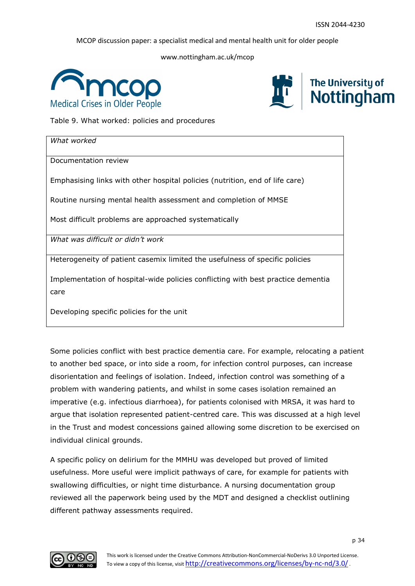www.nottingham.ac.uk/mcop





Table 9. What worked: policies and procedures

| What worked                                                                              |
|------------------------------------------------------------------------------------------|
| Documentation review                                                                     |
| Emphasising links with other hospital policies (nutrition, end of life care)             |
| Routine nursing mental health assessment and completion of MMSE                          |
| Most difficult problems are approached systematically                                    |
| What was difficult or didn't work                                                        |
| Heterogeneity of patient casemix limited the usefulness of specific policies             |
| Implementation of hospital-wide policies conflicting with best practice dementia<br>care |

Developing specific policies for the unit

Some policies conflict with best practice dementia care. For example, relocating a patient to another bed space, or into side a room, for infection control purposes, can increase disorientation and feelings of isolation. Indeed, infection control was something of a problem with wandering patients, and whilst in some cases isolation remained an imperative (e.g. infectious diarrhoea), for patients colonised with MRSA, it was hard to argue that isolation represented patient-centred care. This was discussed at a high level in the Trust and modest concessions gained allowing some discretion to be exercised on individual clinical grounds.

A specific policy on delirium for the MMHU was developed but proved of limited usefulness. More useful were implicit pathways of care, for example for patients with swallowing difficulties, or night time disturbance. A nursing documentation group reviewed all the paperwork being used by the MDT and designed a checklist outlining different pathway assessments required.

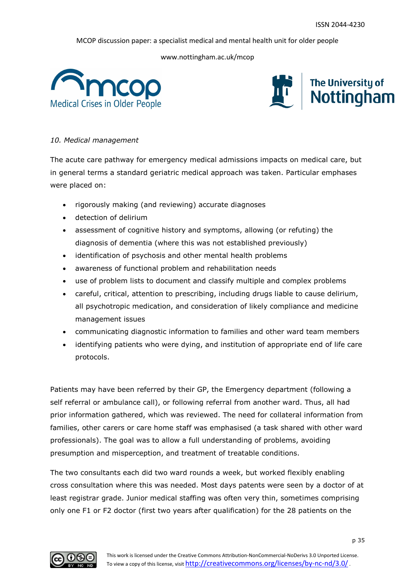www.nottingham.ac.uk/mcop





#### *10. Medical management*

The acute care pathway for emergency medical admissions impacts on medical care, but in general terms a standard geriatric medical approach was taken. Particular emphases were placed on:

- rigorously making (and reviewing) accurate diagnoses
- detection of delirium
- assessment of cognitive history and symptoms, allowing (or refuting) the diagnosis of dementia (where this was not established previously)
- identification of psychosis and other mental health problems
- awareness of functional problem and rehabilitation needs
- use of problem lists to document and classify multiple and complex problems
- careful, critical, attention to prescribing, including drugs liable to cause delirium, all psychotropic medication, and consideration of likely compliance and medicine management issues
- communicating diagnostic information to families and other ward team members
- identifying patients who were dying, and institution of appropriate end of life care protocols.

Patients may have been referred by their GP, the Emergency department (following a self referral or ambulance call), or following referral from another ward. Thus, all had prior information gathered, which was reviewed. The need for collateral information from families, other carers or care home staff was emphasised (a task shared with other ward professionals). The goal was to allow a full understanding of problems, avoiding presumption and misperception, and treatment of treatable conditions.

The two consultants each did two ward rounds a week, but worked flexibly enabling cross consultation where this was needed. Most days patents were seen by a doctor of at least registrar grade. Junior medical staffing was often very thin, sometimes comprising only one F1 or F2 doctor (first two years after qualification) for the 28 patients on the

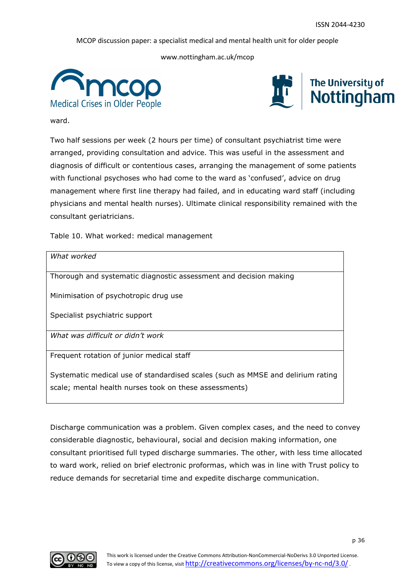www.nottingham.ac.uk/mcop





ward.

Two half sessions per week (2 hours per time) of consultant psychiatrist time were arranged, providing consultation and advice. This was useful in the assessment and diagnosis of difficult or contentious cases, arranging the management of some patients with functional psychoses who had come to the ward as 'confused', advice on drug management where first line therapy had failed, and in educating ward staff (including physicians and mental health nurses). Ultimate clinical responsibility remained with the consultant geriatricians.

Table 10. What worked: medical management

| What worked                                                                     |
|---------------------------------------------------------------------------------|
| Thorough and systematic diagnostic assessment and decision making               |
| Minimisation of psychotropic drug use                                           |
| Specialist psychiatric support                                                  |
| What was difficult or didn't work                                               |
| Frequent rotation of junior medical staff                                       |
| Systematic medical use of standardised scales (such as MMSE and delirium rating |
| scale; mental health nurses took on these assessments)                          |

Discharge communication was a problem. Given complex cases, and the need to convey considerable diagnostic, behavioural, social and decision making information, one consultant prioritised full typed discharge summaries. The other, with less time allocated to ward work, relied on brief electronic proformas, which was in line with Trust policy to reduce demands for secretarial time and expedite discharge communication.

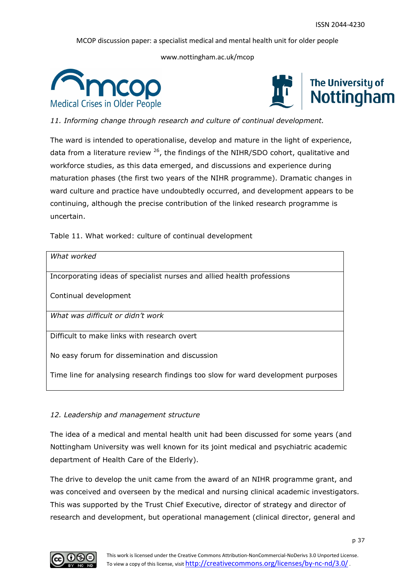www.nottingham.ac.uk/mcop





*11. Informing change through research and culture of continual development.* 

The ward is intended to operationalise, develop and mature in the light of experience, data from a literature review  $26$ , the findings of the NIHR/SDO cohort, qualitative and workforce studies, as this data emerged, and discussions and experience during maturation phases (the first two years of the NIHR programme). Dramatic changes in ward culture and practice have undoubtedly occurred, and development appears to be continuing, although the precise contribution of the linked research programme is uncertain.

Table 11. What worked: culture of continual development

| What worked                                                                      |
|----------------------------------------------------------------------------------|
|                                                                                  |
|                                                                                  |
| Incorporating ideas of specialist nurses and allied health professions           |
|                                                                                  |
|                                                                                  |
|                                                                                  |
| Continual development                                                            |
|                                                                                  |
|                                                                                  |
| What was difficult or didn't work                                                |
|                                                                                  |
|                                                                                  |
| Difficult to make links with research overt                                      |
|                                                                                  |
|                                                                                  |
|                                                                                  |
| No easy forum for dissemination and discussion                                   |
|                                                                                  |
|                                                                                  |
| Time line for analysing research findings too slow for ward development purposes |
|                                                                                  |
|                                                                                  |

# *12. Leadership and management structure*

The idea of a medical and mental health unit had been discussed for some years (and Nottingham University was well known for its joint medical and psychiatric academic department of Health Care of the Elderly).

The drive to develop the unit came from the award of an NIHR programme grant, and was conceived and overseen by the medical and nursing clinical academic investigators. This was supported by the Trust Chief Executive, director of strategy and director of research and development, but operational management (clinical director, general and

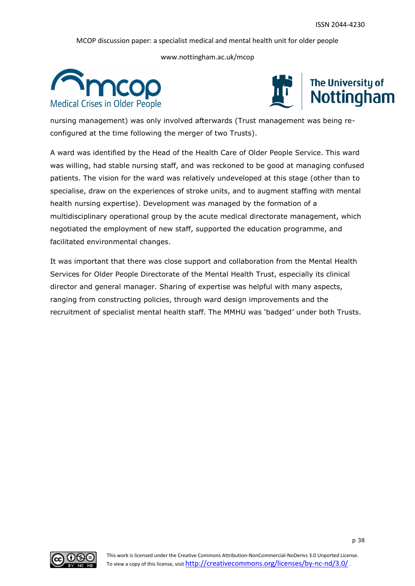www.nottingham.ac.uk/mcop





nursing management) was only involved afterwards (Trust management was being reconfigured at the time following the merger of two Trusts).

A ward was identified by the Head of the Health Care of Older People Service. This ward was willing, had stable nursing staff, and was reckoned to be good at managing confused patients. The vision for the ward was relatively undeveloped at this stage (other than to specialise, draw on the experiences of stroke units, and to augment staffing with mental health nursing expertise). Development was managed by the formation of a multidisciplinary operational group by the acute medical directorate management, which negotiated the employment of new staff, supported the education programme, and facilitated environmental changes.

It was important that there was close support and collaboration from the Mental Health Services for Older People Directorate of the Mental Health Trust, especially its clinical director and general manager. Sharing of expertise was helpful with many aspects, ranging from constructing policies, through ward design improvements and the recruitment of specialist mental health staff. The MMHU was 'badged' under both Trusts.

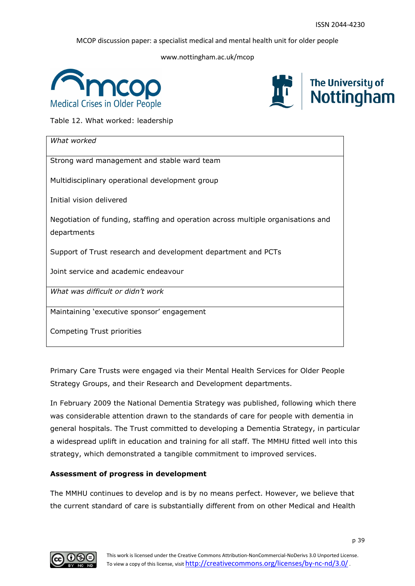www.nottingham.ac.uk/mcop





Table 12. What worked: leadership

| What worked                                                                      |
|----------------------------------------------------------------------------------|
| Strong ward management and stable ward team                                      |
| Multidisciplinary operational development group                                  |
| Initial vision delivered                                                         |
| Negotiation of funding, staffing and operation across multiple organisations and |
| departments                                                                      |
| Support of Trust research and development department and PCTs                    |
| Joint service and academic endeavour                                             |
| What was difficult or didn't work                                                |
| Maintaining 'executive sponsor' engagement                                       |
| Competing Trust priorities                                                       |

Primary Care Trusts were engaged via their Mental Health Services for Older People Strategy Groups, and their Research and Development departments.

In February 2009 the National Dementia Strategy was published, following which there was considerable attention drawn to the standards of care for people with dementia in general hospitals. The Trust committed to developing a Dementia Strategy, in particular a widespread uplift in education and training for all staff. The MMHU fitted well into this strategy, which demonstrated a tangible commitment to improved services.

# **Assessment of progress in development**

The MMHU continues to develop and is by no means perfect. However, we believe that the current standard of care is substantially different from on other Medical and Health

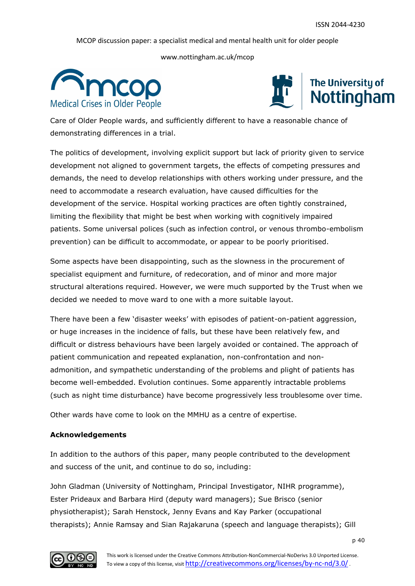www.nottingham.ac.uk/mcop





Care of Older People wards, and sufficiently different to have a reasonable chance of demonstrating differences in a trial.

The politics of development, involving explicit support but lack of priority given to service development not aligned to government targets, the effects of competing pressures and demands, the need to develop relationships with others working under pressure, and the need to accommodate a research evaluation, have caused difficulties for the development of the service. Hospital working practices are often tightly constrained, limiting the flexibility that might be best when working with cognitively impaired patients. Some universal polices (such as infection control, or venous thrombo-embolism prevention) can be difficult to accommodate, or appear to be poorly prioritised.

Some aspects have been disappointing, such as the slowness in the procurement of specialist equipment and furniture, of redecoration, and of minor and more major structural alterations required. However, we were much supported by the Trust when we decided we needed to move ward to one with a more suitable layout.

There have been a few 'disaster weeks' with episodes of patient-on-patient aggression, or huge increases in the incidence of falls, but these have been relatively few, and difficult or distress behaviours have been largely avoided or contained. The approach of patient communication and repeated explanation, non-confrontation and nonadmonition, and sympathetic understanding of the problems and plight of patients has become well-embedded. Evolution continues. Some apparently intractable problems (such as night time disturbance) have become progressively less troublesome over time.

Other wards have come to look on the MMHU as a centre of expertise.

# **Acknowledgements**

In addition to the authors of this paper, many people contributed to the development and success of the unit, and continue to do so, including:

John Gladman (University of Nottingham, Principal Investigator, NIHR programme), Ester Prideaux and Barbara Hird (deputy ward managers); Sue Brisco (senior physiotherapist); Sarah Henstock, Jenny Evans and Kay Parker (occupational therapists); Annie Ramsay and Sian Rajakaruna (speech and language therapists); Gill

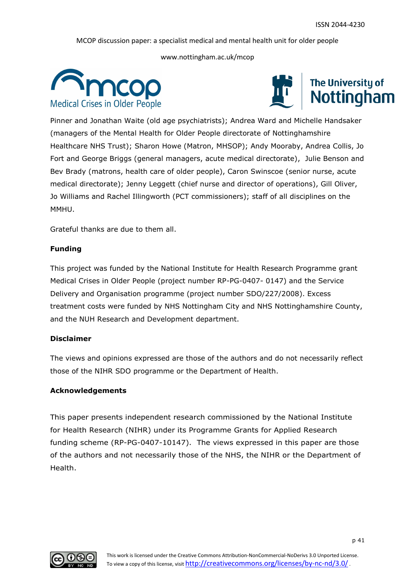www.nottingham.ac.uk/mcop





Pinner and Jonathan Waite (old age psychiatrists); Andrea Ward and Michelle Handsaker (managers of the Mental Health for Older People directorate of Nottinghamshire Healthcare NHS Trust); Sharon Howe (Matron, MHSOP); Andy Mooraby, Andrea Collis, Jo Fort and George Briggs (general managers, acute medical directorate), Julie Benson and Bev Brady (matrons, health care of older people), Caron Swinscoe (senior nurse, acute medical directorate); Jenny Leggett (chief nurse and director of operations), Gill Oliver, Jo Williams and Rachel Illingworth (PCT commissioners); staff of all disciplines on the MMHU.

Grateful thanks are due to them all.

#### **Funding**

This project was funded by the National Institute for Health Research Programme grant Medical Crises in Older People (project number RP-PG-0407- 0147) and the Service Delivery and Organisation programme (project number SDO/227/2008). Excess treatment costs were funded by NHS Nottingham City and NHS Nottinghamshire County, and the NUH Research and Development department.

#### **Disclaimer**

The views and opinions expressed are those of the authors and do not necessarily reflect those of the NIHR SDO programme or the Department of Health.

#### **Acknowledgements**

This paper presents independent research commissioned by the National Institute for Health Research (NIHR) under its Programme Grants for Applied Research funding scheme (RP-PG-0407-10147). The views expressed in this paper are those of the authors and not necessarily those of the NHS, the NIHR or the Department of Health.

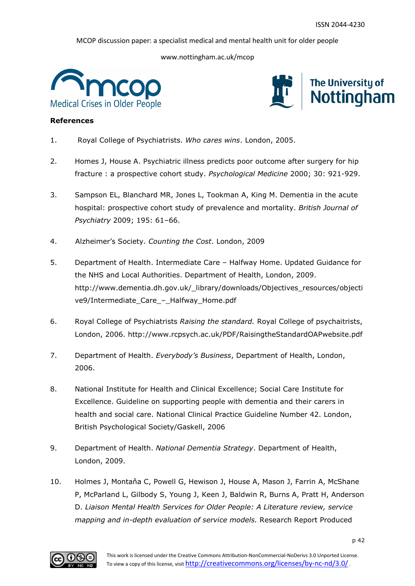www.nottingham.ac.uk/mcop





#### **References**

- 1. Royal College of Psychiatrists. *Who cares wins*. London, 2005.
- 2. Homes J, House A. Psychiatric illness predicts poor outcome after surgery for hip fracture : a prospective cohort study. *Psychological Medicine* 2000; 30: 921-929.
- 3. Sampson EL, Blanchard MR, Jones L, Tookman A, King M. Dementia in the acute hospital: prospective cohort study of prevalence and mortality. *British Journal of Psychiatry* 2009; 195: 61–66.
- 4. Alzheimer's Society. *Counting the Cost*. London, 2009
- 5. Department of Health. Intermediate Care Halfway Home. Updated Guidance for the NHS and Local Authorities. Department of Health, London, 2009. http://www.dementia.dh.gov.uk/\_library/downloads/Objectives\_resources/objecti ve9/Intermediate\_Care\_–\_Halfway\_Home.pdf
- 6. Royal College of Psychiatrists *Raising the standard.* Royal College of psychaitrists, London, 2006. http://www.rcpsych.ac.uk/PDF/RaisingtheStandardOAPwebsite.pdf
- 7. Department of Health. *Everybody's Business*, Department of Health, London, 2006.
- 8. National Institute for Health and Clinical Excellence; Social Care Institute for Excellence. Guideline on supporting people with dementia and their carers in health and social care. National Clinical Practice Guideline Number 42. London, British Psychological Society/Gaskell, 2006
- 9. Department of Health. *National Dementia Strategy*. Department of Health, London, 2009.
- 10. Holmes J, Montaňa C, Powell G, Hewison J, House A, Mason J, Farrin A, McShane P, McParland L, Gilbody S, Young J, Keen J, Baldwin R, Burns A, Pratt H, Anderson D. *Liaison Mental Health Services for Older People: A Literature review, service mapping and in-depth evaluation of service models.* Research Report Produced

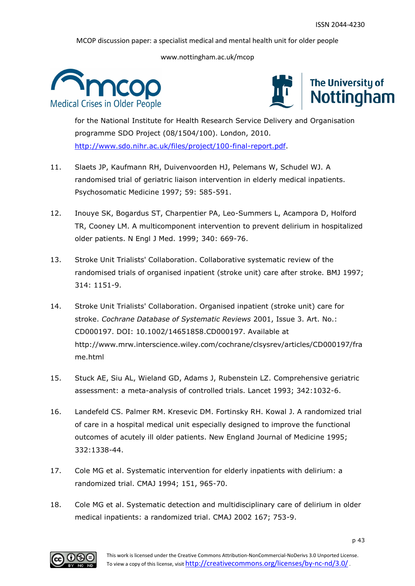www.nottingham.ac.uk/mcop





for the National Institute for Health Research Service Delivery and Organisation programme SDO Project (08/1504/100). London, 2010. [http://www.sdo.nihr.ac.uk/files/project/100-final-report.pdf.](http://www.sdo.nihr.ac.uk/files/project/100-final-report.pdf)

- 11. Slaets JP, Kaufmann RH, Duivenvoorden HJ, Pelemans W, Schudel WJ. A randomised trial of geriatric liaison intervention in elderly medical inpatients. Psychosomatic Medicine 1997; 59: 585-591.
- 12. Inouye SK, Bogardus ST, Charpentier PA, Leo-Summers L, Acampora D, Holford TR, Cooney LM. A multicomponent intervention to prevent delirium in hospitalized older patients. N Engl J Med. 1999; 340: 669-76.
- 13. Stroke Unit Trialists' Collaboration. Collaborative systematic review of the randomised trials of organised inpatient (stroke unit) care after stroke. BMJ 1997; 314: 1151-9.
- 14. Stroke Unit Trialists' Collaboration. Organised inpatient (stroke unit) care for stroke. *Cochrane Database of Systematic Reviews* 2001, Issue 3. Art. No.: CD000197. DOI: 10.1002/14651858.CD000197. Available at http://www.mrw.interscience.wiley.com/cochrane/clsysrev/articles/CD000197/fra me.html
- 15. Stuck AE, Siu AL, Wieland GD, Adams J, Rubenstein LZ. Comprehensive geriatric assessment: a meta-analysis of controlled trials. Lancet 1993; 342:1032-6.
- 16. Landefeld CS. Palmer RM. Kresevic DM. Fortinsky RH. Kowal J. A randomized trial of care in a hospital medical unit especially designed to improve the functional outcomes of acutely ill older patients. New England Journal of Medicine 1995; 332:1338-44.
- 17. Cole MG et al. Systematic intervention for elderly inpatients with delirium: a randomized trial. CMAJ 1994; 151, 965-70.
- 18. Cole MG et al. Systematic detection and multidisciplinary care of delirium in older medical inpatients: a randomized trial. CMAJ 2002 167; 753-9.

![](_page_42_Figure_14.jpeg)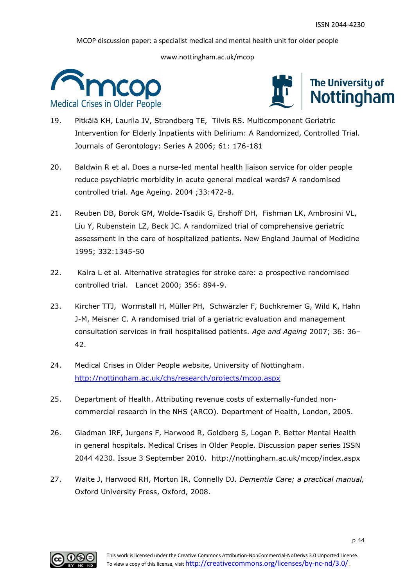![](_page_43_Picture_3.jpeg)

![](_page_43_Picture_4.jpeg)

- 19. Pitkälä KH, Laurila JV, Strandberg TE, Tilvis RS. Multicomponent Geriatric Intervention for Elderly Inpatients with Delirium: A Randomized, Controlled Trial. Journals of Gerontology: Series A 2006; 61: 176-181
- 20. Baldwin R et al. Does a nurse-led mental health liaison service for older people reduce psychiatric morbidity in acute general medical wards? A randomised controlled trial. Age Ageing. 2004 ;33:472-8.
- 21. Reuben DB, Borok GM, Wolde-Tsadik G, Ershoff DH, Fishman LK, Ambrosini VL, Liu Y, Rubenstein LZ, Beck JC. A randomized trial of comprehensive geriatric assessment in the care of hospitalized patients**.** New England Journal of Medicine 1995; 332:1345-50
- 22. Kalra L et al. Alternative strategies for stroke care: a prospective randomised controlled trial. Lancet 2000; 356: 894-9.
- 23. Kircher TTJ, Wormstall H, Müller PH, Schwärzler F, Buchkremer G, Wild K, Hahn J-M, Meisner C. A randomised trial of a geriatric evaluation and management consultation services in frail hospitalised patients. *Age and Ageing* 2007; 36: 36– 42.
- 24. Medical Crises in Older People website, University of Nottingham. <http://nottingham.ac.uk/chs/research/projects/mcop.aspx>
- 25. Department of Health. Attributing revenue costs of externally-funded noncommercial research in the NHS (ARCO). Department of Health, London, 2005.
- 26. Gladman JRF, Jurgens F, Harwood R, Goldberg S, Logan P. Better Mental Health in general hospitals. Medical Crises in Older People. Discussion paper series ISSN 2044 4230. Issue 3 September 2010. http://nottingham.ac.uk/mcop/index.aspx
- 27. Waite J, Harwood RH, Morton IR, Connelly DJ. *Dementia Care; a practical manual,* Oxford University Press, Oxford, 2008.

![](_page_43_Figure_14.jpeg)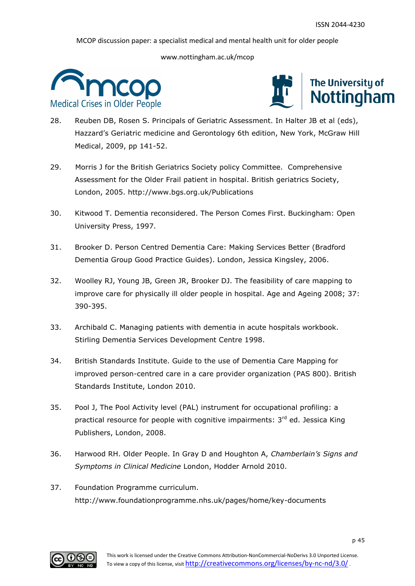![](_page_44_Picture_3.jpeg)

![](_page_44_Picture_4.jpeg)

- 28. Reuben DB, Rosen S. Principals of Geriatric Assessment. In Halter JB et al (eds), Hazzard's Geriatric medicine and Gerontology 6th edition, New York, McGraw Hill Medical, 2009, pp 141-52.
- 29. Morris J for the British Geriatrics Society policy Committee. Comprehensive Assessment for the Older Frail patient in hospital. British geriatrics Society, London, 2005. http://www.bgs.org.uk/Publications
- 30. Kitwood T. Dementia reconsidered. The Person Comes First. Buckingham: Open University Press, 1997.
- 31. Brooker D. Person Centred Dementia Care: Making Services Better (Bradford Dementia Group Good Practice Guides). London, Jessica Kingsley, 2006.
- 32. [Woolley](http://ageing.oxfordjournals.org/search?author1=Rosemary+J.+Woolley&sortspec=date&submit=Submit) RJ, [Young](http://ageing.oxfordjournals.org/content/37/4/390.abstract#aff-1#aff-1) JB, Green JR, [Brooker](http://ageing.oxfordjournals.org/search?author1=Dawn+J.+Brooker&sortspec=date&submit=Submit) DJ. The feasibility of care mapping to improve care for physically ill older people in hospital. Age and Ageing 2008; 37: 390-395.
- 33. Archibald C. Managing patients with dementia in acute hospitals workbook. Stirling Dementia Services Development Centre 1998.
- 34. British Standards Institute. Guide to the use of Dementia Care Mapping for improved person-centred care in a care provider organization (PAS 800). British Standards Institute, London 2010.
- 35. Pool J, The Pool Activity level (PAL) instrument for occupational profiling: a practical resource for people with cognitive impairments: 3<sup>rd</sup> ed. Jessica King Publishers, London, 2008.
- 36. Harwood RH. Older People. In Gray D and Houghton A, *Chamberlain's Signs and Symptoms in Clinical Medicine* London, Hodder Arnold 2010.
- 37. Foundation Programme curriculum. http://www.foundationprogramme.nhs.uk/pages/home/key-documents

![](_page_44_Figure_15.jpeg)